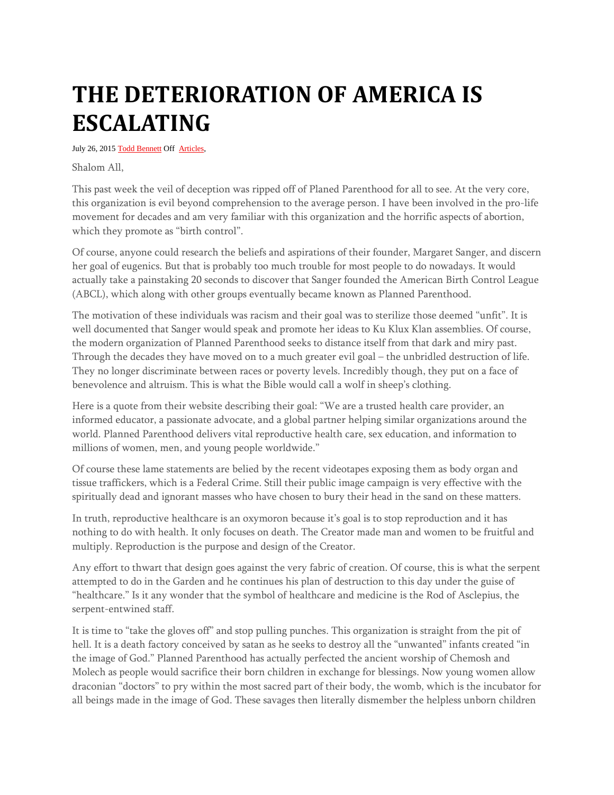## **THE DETERIORATION OF AMERICA IS ESCALATING**

July 26, 2015 [Todd Bennett](http://shemayisrael.net/author/tbennett/) Off [Articles,](http://shemayisrael.net/category/articles/)

Shalom All,

This past week the veil of deception was ripped off of Planed Parenthood for all to see. At the very core, this organization is evil beyond comprehension to the average person. I have been involved in the pro-life movement for decades and am very familiar with this organization and the horrific aspects of abortion, which they promote as "birth control".

Of course, anyone could research the beliefs and aspirations of their founder, Margaret Sanger, and discern her goal of eugenics. But that is probably too much trouble for most people to do nowadays. It would actually take a painstaking 20 seconds to discover that Sanger founded the American Birth Control League (ABCL), which along with other groups eventually became known as Planned Parenthood.

The motivation of these individuals was racism and their goal was to sterilize those deemed "unfit". It is well documented that Sanger would speak and promote her ideas to Ku Klux Klan assemblies. Of course, the modern organization of Planned Parenthood seeks to distance itself from that dark and miry past. Through the decades they have moved on to a much greater evil goal – the unbridled destruction of life. They no longer discriminate between races or poverty levels. Incredibly though, they put on a face of benevolence and altruism. This is what the Bible would call a wolf in sheep's clothing.

Here is a quote from their website describing their goal: "We are a trusted health care provider, an informed educator, a passionate advocate, and a global partner helping similar organizations around the world. Planned Parenthood delivers vital reproductive health care, sex education, and information to millions of women, men, and young people worldwide."

Of course these lame statements are belied by the recent videotapes exposing them as body organ and tissue traffickers, which is a Federal Crime. Still their public image campaign is very effective with the spiritually dead and ignorant masses who have chosen to bury their head in the sand on these matters.

In truth, reproductive healthcare is an oxymoron because it's goal is to stop reproduction and it has nothing to do with health. It only focuses on death. The Creator made man and women to be fruitful and multiply. Reproduction is the purpose and design of the Creator.

Any effort to thwart that design goes against the very fabric of creation. Of course, this is what the serpent attempted to do in the Garden and he continues his plan of destruction to this day under the guise of "healthcare." Is it any wonder that the symbol of healthcare and medicine is the Rod of Asclepius, the serpent-entwined staff.

It is time to "take the gloves off" and stop pulling punches. This organization is straight from the pit of hell. It is a death factory conceived by satan as he seeks to destroy all the "unwanted" infants created "in the image of God." Planned Parenthood has actually perfected the ancient worship of Chemosh and Molech as people would sacrifice their born children in exchange for blessings. Now young women allow draconian "doctors" to pry within the most sacred part of their body, the womb, which is the incubator for all beings made in the image of God. These savages then literally dismember the helpless unborn children